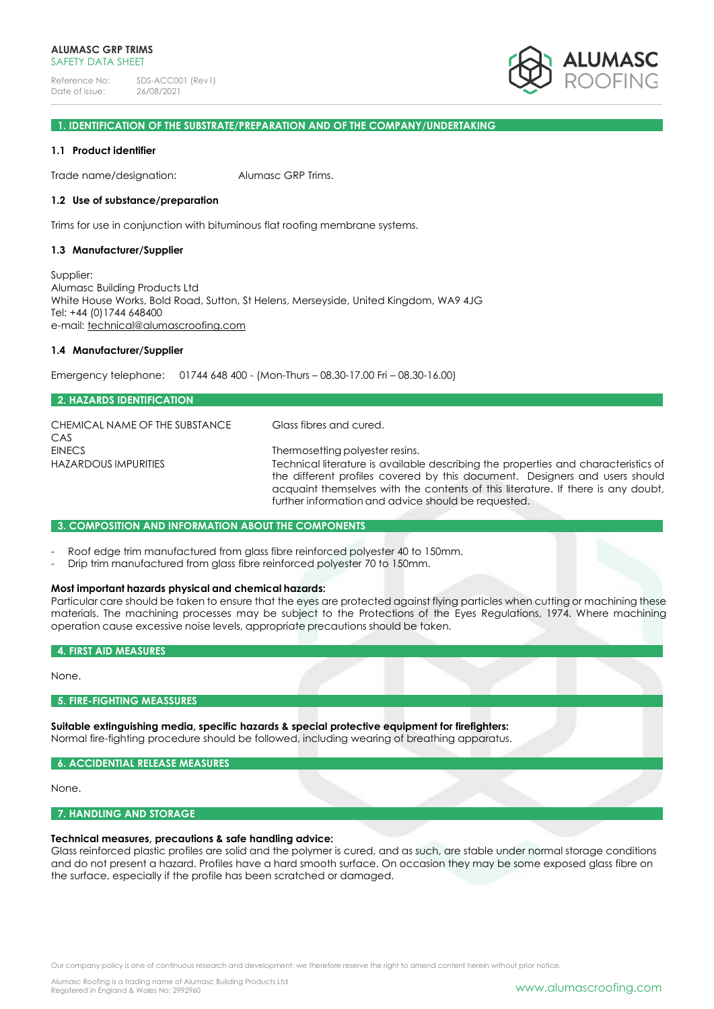Reference No: SDS-ACC001 (Rev1)<br>Date of issue: 26/08/2021 Date of issue:



### **1. IDENTIFICATION OF THE SUBSTRATE/PREPARATION AND OF THE COMPANY/UNDERTAKING**

### **1.1 Product identifier**

Trade name/designation: Alumasc GRP Trims.

#### **1.2 Use of substance/preparation**

Trims for use in conjunction with bituminous flat roofing membrane systems.

#### **1.3 Manufacturer/Supplier**

Supplier: Alumasc Building Products Ltd White House Works, Bold Road, Sutton, St Helens, Merseyside, United Kingdom, WA9 4JG Tel: +44 (0)1744 648400 e-mail: [technical@alumascroofing.com](mailto:technical@alumascroofing.com)

#### **1.4 Manufacturer/Supplier**

Emergency telephone: 01744 648 400 - (Mon-Thurs – 08.30-17.00 Fri – 08.30-16.00)

| 2. HAZARDS IDENTIFICATION                    |                                                                                                                                                                                                                                                                                          |
|----------------------------------------------|------------------------------------------------------------------------------------------------------------------------------------------------------------------------------------------------------------------------------------------------------------------------------------------|
| CHEMICAL NAME OF THE SUBSTANCE<br>CAS        | Glass fibres and cured.                                                                                                                                                                                                                                                                  |
| <b>EINECS</b><br><b>HAZARDOUS IMPURITIES</b> | Thermosetting polyester resins.<br>Technical literature is available describing the properties and characteristics of<br>the different profiles covered by this document. Designers and users should<br>acquaint themselves with the contents of this literature. If there is any doubt, |
|                                              | further information and advice should be requested.                                                                                                                                                                                                                                      |

#### **3. COMPOSITION AND INFORMATION ABOUT THE COMPONENTS**

- Roof edge trim manufactured from glass fibre reinforced polyester 40 to 150mm.

Drip trim manufactured from glass fibre reinforced polyester 70 to 150mm.

### **Most important hazards physical and chemical hazards:**

Particular care should be taken to ensure that the eyes are protected against flying particles when cutting or machining these materials. The machining processes may be subject to the Protections of the Eyes Regulations, 1974. Where machining operation cause excessive noise levels, appropriate precautions should be taken.

#### **4. FIRST AID MEASURES**

None.

# **5. FIRE-FIGHTING MEASSURES**

**Suitable extinguishing media, specific hazards & special protective equipment for firefighters:** Normal fire-fighting procedure should be followed, including wearing of breathing apparatus.

#### **6. ACCIDENTIAL RELEASE MEASURES**

None.

### **7. HANDLING AND STORAGE**

#### **Technical measures, precautions & safe handling advice:**

Glass reinforced plastic profiles are solid and the polymer is cured, and as such, are stable under normal storage conditions and do not present a hazard. Profiles have a hard smooth surface. On occasion they may be some exposed glass fibre on the surface, especially if the profile has been scratched or damaged.

Our company policy is one of continuous research and development; we therefore reserve the right to amend content herein without prior notice.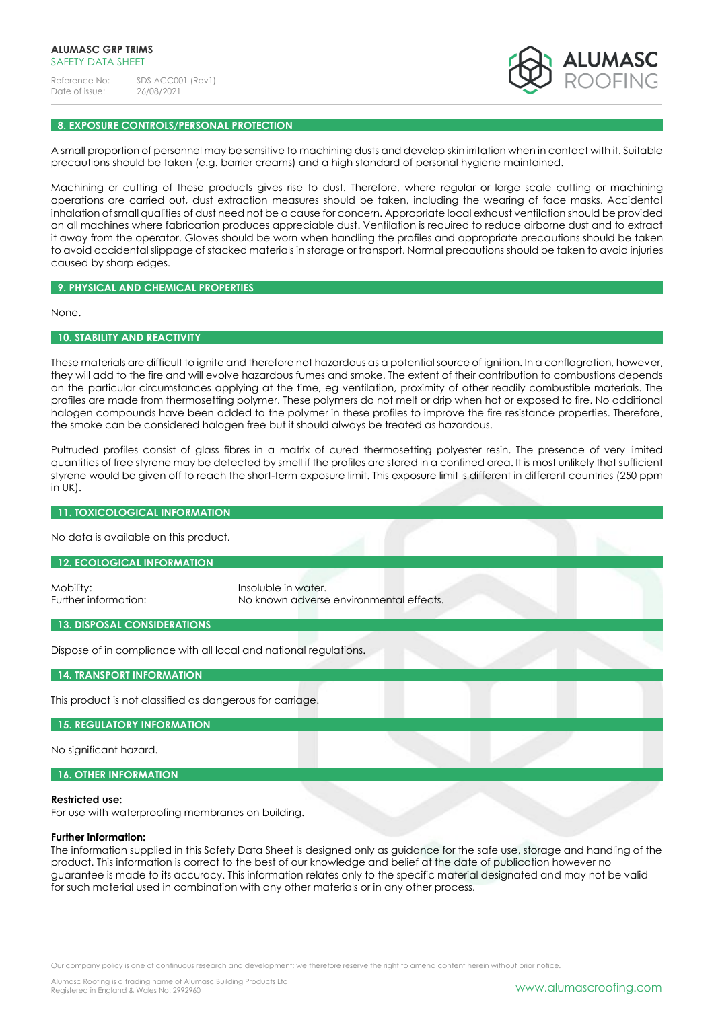Reference No: SDS-ACC001 (Rev1)<br>Date of issue: 26/08/2021 Date of issue:



# **8. EXPOSURE CONTROLS/PERSONAL PROTECTION**

A small proportion of personnel may be sensitive to machining dusts and develop skin irritation when in contact with it. Suitable precautions should be taken (e.g. barrier creams) and a high standard of personal hygiene maintained.

Machining or cutting of these products gives rise to dust. Therefore, where regular or large scale cutting or machining operations are carried out, dust extraction measures should be taken, including the wearing of face masks. Accidental inhalation of small qualities of dust need not be a cause for concern. Appropriate local exhaust ventilation should be provided on all machines where fabrication produces appreciable dust. Ventilation is required to reduce airborne dust and to extract it away from the operator. Gloves should be worn when handling the profiles and appropriate precautions should be taken to avoid accidental slippage of stacked materials in storage or transport. Normal precautions should be taken to avoid injuries caused by sharp edges.

# **9. PHYSICAL AND CHEMICAL PROPERTIES**

None.

# **10. STABILITY AND REACTIVITY**

These materials are difficult to ignite and therefore not hazardous as a potential source of ignition. In a conflagration, however, they will add to the fire and will evolve hazardous fumes and smoke. The extent of their contribution to combustions depends on the particular circumstances applying at the time, eg ventilation, proximity of other readily combustible materials. The profiles are made from thermosetting polymer. These polymers do not melt or drip when hot or exposed to fire. No additional halogen compounds have been added to the polymer in these profiles to improve the fire resistance properties. Therefore, the smoke can be considered halogen free but it should always be treated as hazardous.

Pultruded profiles consist of glass fibres in a matrix of cured thermosetting polyester resin. The presence of very limited quantities of free styrene may be detected by smell if the profiles are stored in a confined area. It is most unlikely that sufficient styrene would be given off to reach the short-term exposure limit. This exposure limit is different in different countries (250 ppm in UK).

# **11. TOXICOLOGICAL INFORMATION**

No data is available on this product.

**12. ECOLOGICAL INFORMATION**

Mobility: Insoluble in water.

Further information: No known adverse environmental effects.

# **13. DISPOSAL CONSIDERATIONS**

Dispose of in compliance with all local and national regulations.

**14. TRANSPORT INFORMATION**

This product is not classified as dangerous for carriage.

**15. REGULATORY INFORMATION**

No significant hazard.

**16. OTHER INFORMATION**

#### **Restricted use:**

For use with waterproofing membranes on building.

#### **Further information:**

The information supplied in this Safety Data Sheet is designed only as guidance for the safe use, storage and handling of the product. This information is correct to the best of our knowledge and belief at the date of publication however no guarantee is made to its accuracy. This information relates only to the specific material designated and may not be valid for such material used in combination with any other materials or in any other process.

Our company policy is one of continuous research and development; we therefore reserve the right to amend content herein without prior notice.